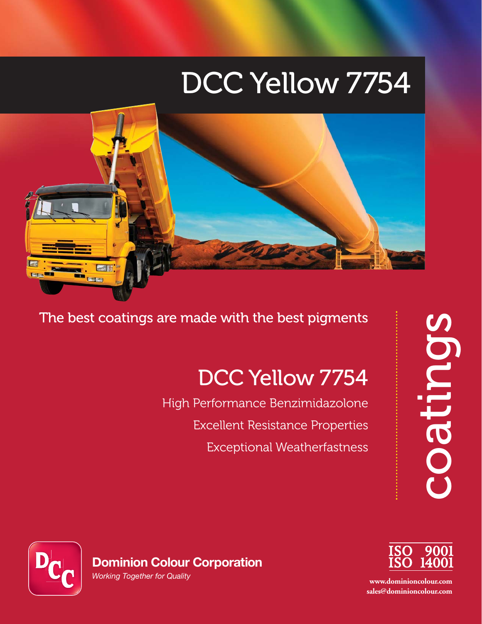# DCC Yellow 7754



The best coatings are made with the best pigments

# DCC Yellow 7754

High Performance Benzimidazolone Excellent Resistance Properties Exceptional Weatherfastness coatings





**www.dominioncolour.com sales@dominioncolour.com**

*Working Together for Quality*

**Dominion Colour Corporation**